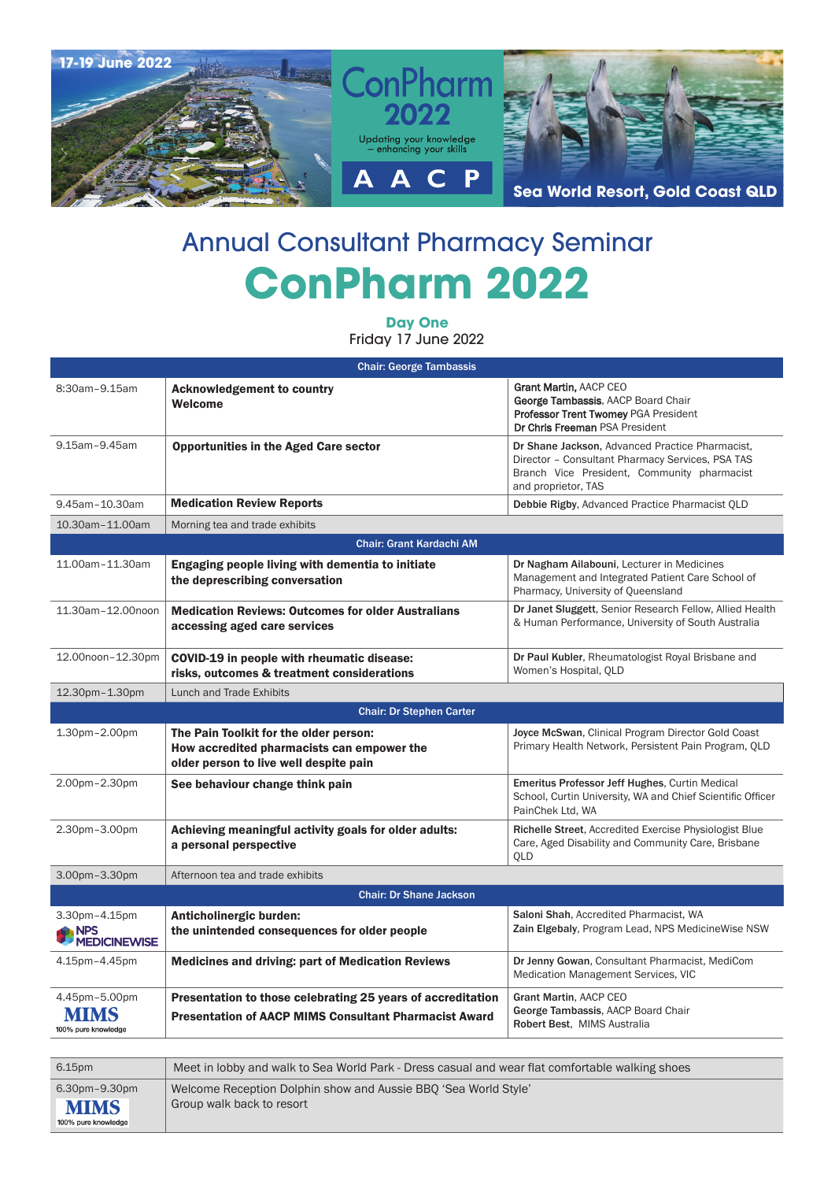

## Annual Consultant Pharmacy Seminar **ConPharm 2022**

**Day One** Friday 17 June 2022

| <b>Chair: George Tambassis</b>                     |                                                                                                                                |                                                                                                                                                                           |  |  |
|----------------------------------------------------|--------------------------------------------------------------------------------------------------------------------------------|---------------------------------------------------------------------------------------------------------------------------------------------------------------------------|--|--|
| 8:30am-9.15am                                      | <b>Acknowledgement to country</b><br>Welcome                                                                                   | Grant Martin, AACP CEO<br>George Tambassis, AACP Board Chair<br>Professor Trent Twomey PGA President<br>Dr Chris Freeman PSA President                                    |  |  |
| 9.15am-9.45am                                      | <b>Opportunities in the Aged Care sector</b>                                                                                   | Dr Shane Jackson, Advanced Practice Pharmacist,<br>Director - Consultant Pharmacy Services, PSA TAS<br>Branch Vice President, Community pharmacist<br>and proprietor, TAS |  |  |
| 9.45am-10.30am                                     | <b>Medication Review Reports</b>                                                                                               | Debbie Rigby, Advanced Practice Pharmacist QLD                                                                                                                            |  |  |
| 10.30am-11.00am                                    | Morning tea and trade exhibits                                                                                                 |                                                                                                                                                                           |  |  |
|                                                    | <b>Chair: Grant Kardachi AM</b>                                                                                                |                                                                                                                                                                           |  |  |
| 11.00am-11.30am                                    | Engaging people living with dementia to initiate<br>the deprescribing conversation                                             | Dr Nagham Ailabouni, Lecturer in Medicines<br>Management and Integrated Patient Care School of<br>Pharmacy, University of Queensland                                      |  |  |
| 11.30am-12.00noon                                  | <b>Medication Reviews: Outcomes for older Australians</b><br>accessing aged care services                                      | Dr Janet Sluggett, Senior Research Fellow, Allied Health<br>& Human Performance, University of South Australia                                                            |  |  |
| 12.00noon-12.30pm                                  | COVID-19 in people with rheumatic disease:<br>risks, outcomes & treatment considerations                                       | Dr Paul Kubler, Rheumatologist Royal Brisbane and<br>Women's Hospital, OLD                                                                                                |  |  |
| 12.30pm-1.30pm                                     | Lunch and Trade Exhibits                                                                                                       |                                                                                                                                                                           |  |  |
|                                                    | <b>Chair: Dr Stephen Carter</b>                                                                                                |                                                                                                                                                                           |  |  |
| 1.30pm-2.00pm                                      | The Pain Toolkit for the older person:<br>How accredited pharmacists can empower the<br>older person to live well despite pain | Joyce McSwan, Clinical Program Director Gold Coast<br>Primary Health Network, Persistent Pain Program, QLD                                                                |  |  |
| 2.00pm-2.30pm                                      | See behaviour change think pain                                                                                                | Emeritus Professor Jeff Hughes, Curtin Medical<br>School, Curtin University, WA and Chief Scientific Officer<br>PainChek Ltd, WA                                          |  |  |
| 2.30pm-3.00pm                                      | Achieving meaningful activity goals for older adults:<br>a personal perspective                                                | Richelle Street, Accredited Exercise Physiologist Blue<br>Care, Aged Disability and Community Care, Brisbane<br><b>OLD</b>                                                |  |  |
| 3.00pm-3.30pm                                      | Afternoon tea and trade exhibits                                                                                               |                                                                                                                                                                           |  |  |
|                                                    | <b>Chair: Dr Shane Jackson</b>                                                                                                 |                                                                                                                                                                           |  |  |
| 3.30pm-4.15pm<br><b>NPS</b><br><b>MEDICINEWISE</b> | Anticholinergic burden:<br>the unintended consequences for older people                                                        | Saloni Shah, Accredited Pharmacist, WA<br>Zain Elgebaly, Program Lead, NPS MedicineWise NSW                                                                               |  |  |
| 4.15pm-4.45pm                                      | <b>Medicines and driving: part of Medication Reviews</b>                                                                       | Dr Jenny Gowan, Consultant Pharmacist, MediCom<br>Medication Management Services, VIC                                                                                     |  |  |
| 4.45pm-5.00pm<br>100% pure knowledge               | Presentation to those celebrating 25 years of accreditation<br><b>Presentation of AACP MIMS Consultant Pharmacist Award</b>    | Grant Martin, AACP CEO<br>George Tambassis, AACP Board Chair<br>Robert Best. MIMS Australia                                                                               |  |  |

| 6.15pm                                              | Meet in lobby and walk to Sea World Park - Dress casual and wear flat comfortable walking shoes |
|-----------------------------------------------------|-------------------------------------------------------------------------------------------------|
| 6.30pm-9.30pm<br><b>MIMS</b><br>100% pure knowledge | Welcome Reception Dolphin show and Aussie BBO 'Sea World Style'<br>Group walk back to resort    |